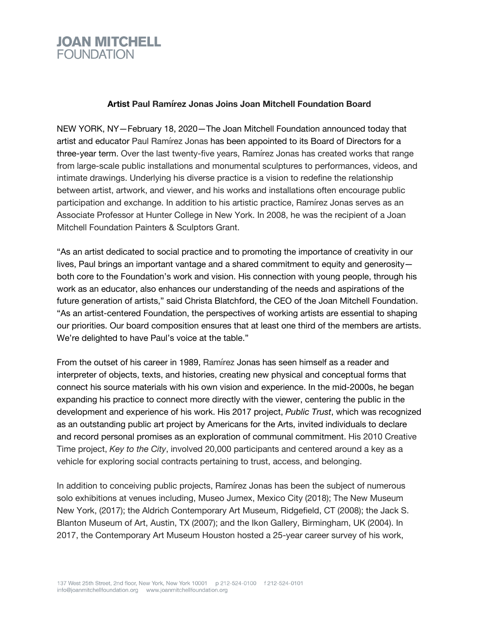

## **Artist Paul Ramírez Jonas Joins Joan Mitchell Foundation Board**

NEW YORK, NY—February 18, 2020—The Joan Mitchell Foundation announced today that artist and educator Paul Ramírez Jonas has been appointed to its Board of Directors for a three-year term. Over the last twenty-five years, Ramírez Jonas has created works that range from large-scale public installations and monumental sculptures to performances, videos, and intimate drawings. Underlying his diverse practice is a vision to redefine the relationship between artist, artwork, and viewer, and his works and installations often encourage public participation and exchange. In addition to his artistic practice, Ramírez Jonas serves as an Associate Professor at Hunter College in New York. In 2008, he was the recipient of a Joan Mitchell Foundation Painters & Sculptors Grant.

"As an artist dedicated to social practice and to promoting the importance of creativity in our lives, Paul brings an important vantage and a shared commitment to equity and generosity both core to the Foundation's work and vision. His connection with young people, through his work as an educator, also enhances our understanding of the needs and aspirations of the future generation of artists," said Christa Blatchford, the CEO of the Joan Mitchell Foundation. "As an artist-centered Foundation, the perspectives of working artists are essential to shaping our priorities. Our board composition ensures that at least one third of the members are artists. We're delighted to have Paul's voice at the table."

From the outset of his career in 1989, Ramírez Jonas has seen himself as a reader and interpreter of objects, texts, and histories, creating new physical and conceptual forms that connect his source materials with his own vision and experience. In the mid-2000s, he began expanding his practice to connect more directly with the viewer, centering the public in the development and experience of his work. His 2017 project, *Public Trust*, which was recognized as an outstanding public art project by Americans for the Arts, invited individuals to declare and record personal promises as an exploration of communal commitment. His 2010 Creative Time project, *Key to the City*, involved 20,000 participants and centered around a key as a vehicle for exploring social contracts pertaining to trust, access, and belonging.

In addition to conceiving public projects, Ramírez Jonas has been the subject of numerous solo exhibitions at venues including, Museo Jumex, Mexico City (2018); The New Museum New York, (2017); the Aldrich Contemporary Art Museum, Ridgefield, CT (2008); the Jack S. Blanton Museum of Art, Austin, TX (2007); and the Ikon Gallery, Birmingham, UK (2004). In 2017, the Contemporary Art Museum Houston hosted a 25-year career survey of his work,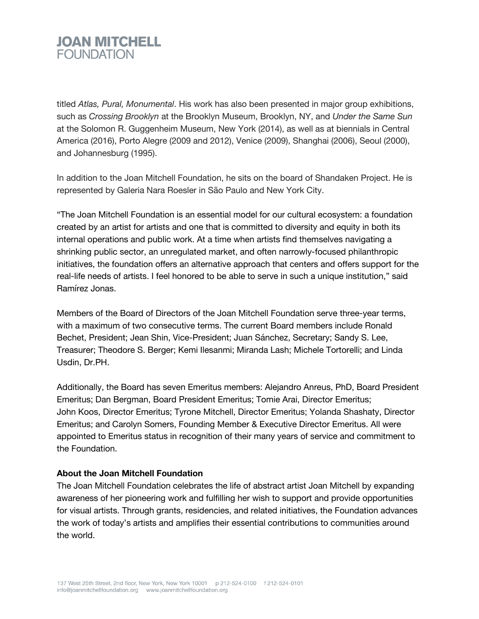## **JOAN MITCHELL FOUNDATION**

titled *Atlas, Pural, Monumental*. His work has also been presented in major group exhibitions, such as *Crossing Brooklyn* at the Brooklyn Museum, Brooklyn, NY, and *Under the Same Sun* at the Solomon R. Guggenheim Museum, New York (2014), as well as at biennials in Central America (2016), Porto Alegre (2009 and 2012), Venice (2009), Shanghai (2006), Seoul (2000), and Johannesburg (1995).

In addition to the Joan Mitchell Foundation, he sits on the board of Shandaken Project. He is represented by Galeria Nara Roesler in São Paulo and New York City.

"The Joan Mitchell Foundation is an essential model for our cultural ecosystem: a foundation created by an artist for artists and one that is committed to diversity and equity in both its internal operations and public work. At a time when artists find themselves navigating a shrinking public sector, an unregulated market, and often narrowly-focused philanthropic initiatives, the foundation offers an alternative approach that centers and offers support for the real-life needs of artists. I feel honored to be able to serve in such a unique institution," said Ramírez Jonas.

Members of the Board of Directors of the Joan Mitchell Foundation serve three-year terms, with a maximum of two consecutive terms. The current Board members include Ronald Bechet, President; Jean Shin, Vice-President; Juan Sánchez, Secretary; Sandy S. Lee, Treasurer; Theodore S. Berger; Kemi Ilesanmi; Miranda Lash; Michele Tortorelli; and Linda Usdin, Dr.PH.

Additionally, the Board has seven Emeritus members: Alejandro Anreus, PhD, Board President Emeritus; Dan Bergman, Board President Emeritus; Tomie Arai, Director Emeritus; John Koos, Director Emeritus; Tyrone Mitchell, Director Emeritus; Yolanda Shashaty, Director Emeritus; and Carolyn Somers, Founding Member & Executive Director Emeritus. All were appointed to Emeritus status in recognition of their many years of service and commitment to the Foundation.

## **About the Joan Mitchell Foundation**

The Joan Mitchell Foundation celebrates the life of abstract artist Joan Mitchell by expanding awareness of her pioneering work and fulfilling her wish to support and provide opportunities for visual artists. Through grants, residencies, and related initiatives, the Foundation advances the work of today's artists and amplifies their essential contributions to communities around the world.